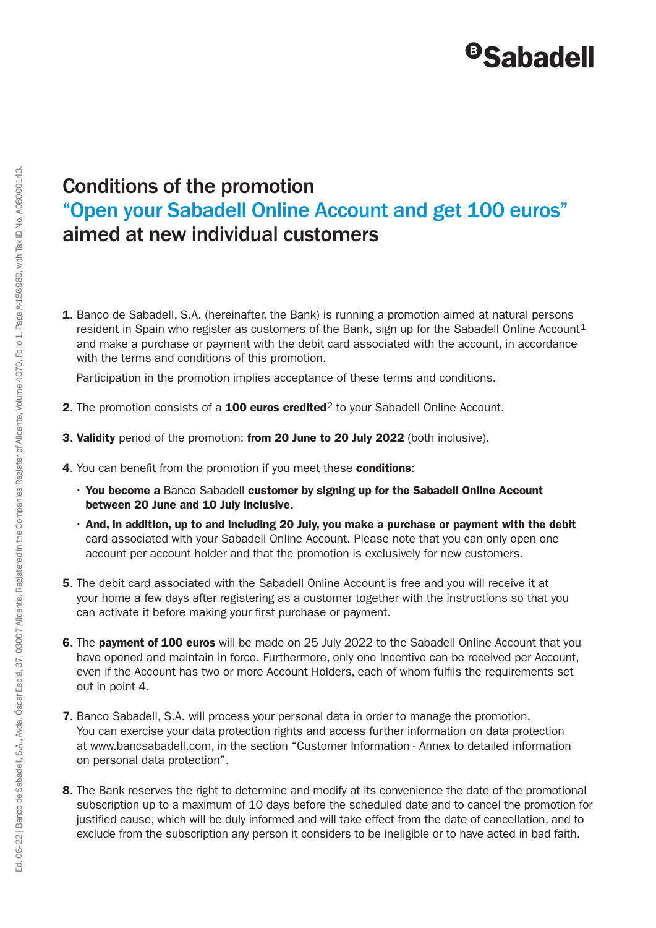## <sup>®</sup>Sabadell

## Conditions of the promotion "Open your Sabadell Online Account and get 100 euros" aimed at new individual customers

**1.** Banco de Sabadell, S.A. (hereinafter, the Bank) is running a promotion aimed at natural persons resident in Spain who register as customers of the Bank, sign up for the Sabadell Online Account<sup>1</sup> and make a purchase or payment with the debit card associated with the account, in accordance with the terms and conditions of this promotion.

Participation in the promotion implies acceptance of these terms and conditions.

- 2. The promotion consists of a  $100$  euros credited<sup>2</sup> to your Sabadell Online Account.
- 3. Validity period of the promotion: from 20 June to 20 July 2022 (both inclusive).
- 4. You can benefit from the promotion if you meet these conditions:
	- You become a Banco Sabadell customer by signing up for the Sabadell Online Account between 20 June and 10 July inclusive.
	- And, in addition, up to and including 20 July, you make a purchase or payment with the debit card associated with your Sabadell Online Account. Please note that you can only open one account per account holder and that the promotion is exclusively for new customers.
- 5. The debit card associated with the Sabadell Online Account is free and you will receive it at your home a few days after registering as a customer together with the instructions so that you can activate it before making your first purchase or payment.
- 6. The payment of 100 euros will be made on 25 July 2022 to the Sabadell Online Account that you have opened and maintain in force. Furthermore, only one Incentive can be received per Account, even if the Account has two or more Account Holders, each of whom fulfils the requirements set out in point 4.
- 7. Banco Sabadell, S.A. will process your personal data in order to manage the promotion. You can exercise your data protection rights and access further information on data protection at www.bancsabadell.com, in the section "Customer Information - Annex to detailed information on personal data protection".
- 8. The Bank reserves the right to determine and modify at its convenience the date of the promotional subscription up to a maximum of 10 days before the scheduled date and to cancel the promotion for justified cause, which will be duly informed and will take effect from the date of cancellation, and to exclude from the subscription any person it considers to be ineligible or to have acted in bad faith.